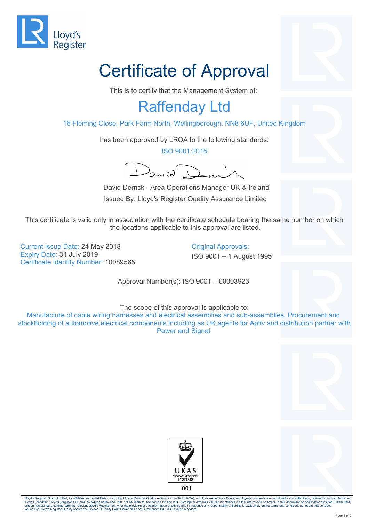

## Certificate of Approval

This is to certify that the Management System of:

## Raffenday Ltd

16 Fleming Close, Park Farm North, Wellingborough, NN8 6UF, United Kingdom

has been approved by LRQA to the following standards:

ISO 9001:2015

David Demi

 David Derrick - Area Operations Manager UK & Ireland Issued By: Lloyd's Register Quality Assurance Limited

This certificate is valid only in association with the certificate schedule bearing the same number on which the locations applicable to this approval are listed.

Current Issue Date: 24 May 2018 **Current Issue Date: 24 May 2018** Expiry Date: 31 July 2019 **ISO 9001** – 1 August 1995 Certificate Identity Number: 10089565

Approval Number(s): ISO 9001 – 00003923

The scope of this approval is applicable to:

Manufacture of cable wiring harnesses and electrical assemblies and sub-assemblies. Procurement and stockholding of automotive electrical components including as UK agents for Aptiv and distribution partner with Power and Signal.